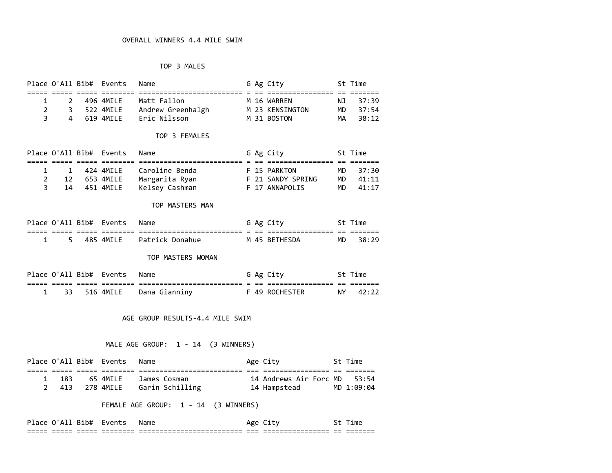### TOP 3 MALES

|   |   | Place O'All Bib# Events | Name              |  | G Ag City       |     | St Time  |
|---|---|-------------------------|-------------------|--|-----------------|-----|----------|
|   |   |                         |                   |  |                 |     |          |
|   | 2 | 496 4MTIF               | Matt Fallon       |  | M 16 WARREN     |     | NJ 37:39 |
|   | 3 | 522 4MILE               | Andrew Greenhalgh |  | M 23 KENSINGTON | MD. | 37:54    |
| 3 | 4 | 619 4MTIF               | Eric Nilsson      |  | M 31 BOSTON     | MA  | 38:12    |

#### TOP 3 FEMALES

|    |  | Place O'All Bib# Events | Name           |  | G Ag City         | St Time  |
|----|--|-------------------------|----------------|--|-------------------|----------|
|    |  |                         |                |  |                   |          |
|    |  | 1 424 4MILE             | Caroline Benda |  | F 15 PARKTON      | MD 37:30 |
|    |  | 12 653 4MILE            | Margarita Ryan |  | F 21 SANDY SPRING | MD 41:11 |
| 3. |  | 14 451 4MILE            | Kelsev Cashman |  | F 17 ANNAPOLIS    | MD 41:17 |

#### TOP MASTERS MAN

|  | Place O'All Bib# Events | Name               |  | G Ag City                       |            | St Time |
|--|-------------------------|--------------------|--|---------------------------------|------------|---------|
|  |                         | __________________ |  | ___________<br>---------------- | $-$<br>$-$ |         |
|  | 485 4MILE               | Patrick Donahue    |  | M 45 BETHESDA                   | MD.        | - 38:29 |

#### TOP MASTERS WOMAN

|  | Place O'All Bib# Events | Name                    |  | G Ag City      |      | St Time  |
|--|-------------------------|-------------------------|--|----------------|------|----------|
|  |                         | ----------------------- |  | ______________ | $ -$ |          |
|  | 33 516 4MILE            | Dana Gianniny           |  | F 49 ROCHESTER |      | NY 42:22 |

### AGE GROUP RESULTS-4.4 MILE SWIM

#### MALE AGE GROUP: 1 - 14 (3 WINNERS)

|       | Place O'All Bib# Events | Name            | Age City                     | St Time    |
|-------|-------------------------|-----------------|------------------------------|------------|
|       |                         |                 |                              |            |
| - 183 | 65 4MTIF                | James Cosman    | 14 Andrews Air Forc MD 53:54 |            |
|       |                         | Garin Schilling | 14 Hampstead                 | MD 1:09:04 |

### FEMALE AGE GROUP: 1 - 14 (3 WINNERS)

| _____ | _____ | ______      | ________  | ------------------------- | ---- | ________________ | --    | _______  |
|-------|-------|-------------|-----------|---------------------------|------|------------------|-------|----------|
| ----- | _____ | ______      | _________ | ------------------------- | ---- | ---------------- | $- -$ | ________ |
|       |       | <b>10th</b> | ___       | Name<br>____              |      | $\sim$           |       | ____     |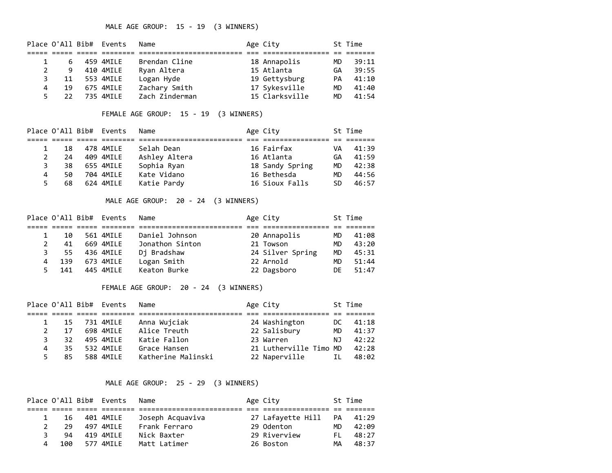## MALE AGE GROUP: 15 - 19 (3 WINNERS)

|    |    | Place O'All Bib# Events | Name           | Age City       |     | St Time |
|----|----|-------------------------|----------------|----------------|-----|---------|
|    |    |                         |                |                |     |         |
|    | 6  | 459 4MILE               | Brendan Cline  | 18 Annapolis   | MD. | 39:11   |
|    | 9  | 410 4MILE               | Ryan Altera    | 15 Atlanta     | GA  | 39:55   |
|    | 11 | 553 4MILE               | Logan Hyde     | 19 Gettysburg  | PA. | 41:10   |
| 4  | 19 | 675 4MILE               | Zachary Smith  | 17 Sykesville  | MD  | 41:40   |
| 5. | 22 | 735 4MTIF               | Zach Zinderman | 15 Clarksville | MD. | 41:54   |

### FEMALE AGE GROUP: 15 - 19 (3 WINNERS)

|    |     | Place O'All Bib# Events | Name          | Age City        |    | St Time |
|----|-----|-------------------------|---------------|-----------------|----|---------|
|    |     |                         |               |                 |    |         |
|    | 18  | 478 4MILE               | Selah Dean    | 16 Fairfax      | VA | 41:39   |
| 2  | 24  | 409 4MILE               | Ashley Altera | 16 Atlanta      | GA | 41:59   |
| 3  | 38  | 655 4MILE               | Sophia Ryan   | 18 Sandy Spring | MD | 42:38   |
| 4  | 50  | 704 4MILE               | Kate Vidano   | 16 Bethesda     | МD | 44:56   |
| 5. | 68. | 624 4MILE               | Katie Pardy   | 16 Sioux Falls  | SD | 46:57   |

### MALE AGE GROUP: 20 - 24 (3 WINNERS)

|    |     | Place O'All Bib# Events | Name            | Age City         |     | St Time |
|----|-----|-------------------------|-----------------|------------------|-----|---------|
|    |     |                         |                 |                  |     |         |
|    | 10  | 561 4MILE               | Daniel Johnson  | 20 Annapolis     | MD  | 41:08   |
|    | 41  | 669 4MILE               | Jonathon Sinton | 21 Towson        | MD  | 43:20   |
| 3  | -55 | 436 4MILE               | Dj Bradshaw     | 24 Silver Spring | MD  | 45:31   |
| 4  | 139 | 673 4MILE               | Logan Smith     | 22 Arnold        | MD  | 51:44   |
| 5. | 141 | 445 4MILE               | Keaton Burke    | 22 Dagsboro      | DE. | 51:47   |

## FEMALE AGE GROUP: 20 - 24 (3 WINNERS)

|   |     | Place O'All Bib# Events | Name               | Age City               |      | St Time |
|---|-----|-------------------------|--------------------|------------------------|------|---------|
|   |     |                         |                    |                        |      |         |
|   | 15  | 731 4MILE               | Anna Wujciak       | 24 Washington          | DC — | 41:18   |
| 2 | 17  | 698 4MILE               | Alice Treuth       | 22 Salisbury           | MD   | 41:37   |
|   | 32  | 495 4MILE               | Katie Fallon       | 23 Warren              | NJ.  | 42:22   |
| 4 | 35. | 532 4MILE               | Grace Hansen       | 21 Lutherville Timo MD |      | 42:28   |
|   | 85  | 588 4MTIF               | Katherine Malinski | 22 Naperville          | IL.  | 48:02   |

## MALE AGE GROUP: 25 - 29 (3 WINNERS)

|   |     | Place O'All Bib# Events | Name             | Age City          |           | St Time |
|---|-----|-------------------------|------------------|-------------------|-----------|---------|
|   |     |                         |                  |                   |           |         |
|   | 16  | 401 4MILE               | Joseph Acquaviva | 27 Lafayette Hill | PA        | 41:29   |
|   | 29  | 497 4MTIF               | Frank Ferraro    | 29 Odenton        | <b>MD</b> | 42:09   |
| ર | 94  | 419 4MTI F              | Nick Baxter      | 29 Riverview      | EL.       | 48:27   |
| 4 | 100 | 577 4MTI F              | Matt Latimer     | 26 Boston         | MА        | 48:37   |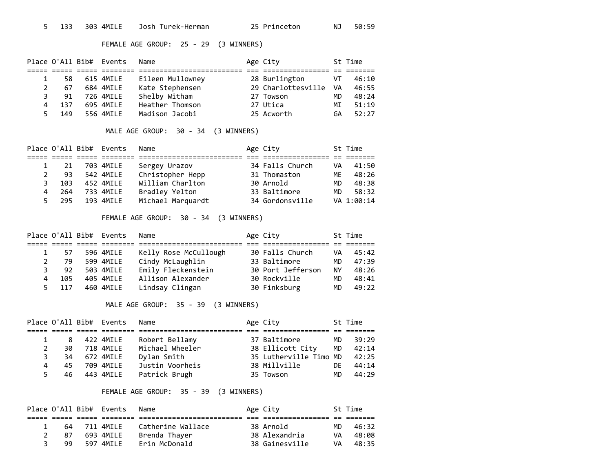### FEMALE AGE GROUP: 25 - 29 (3 WINNERS)

|    |     | Place O'All Bib# Events | Name             | Age City           |           | St Time |
|----|-----|-------------------------|------------------|--------------------|-----------|---------|
|    |     |                         |                  |                    |           |         |
|    | 58. | 615 4MILE               | Eileen Mullowney | 28 Burlington      | VT        | 46:10   |
|    | 67  | 684 4MILE               | Kate Stephensen  | 29 Charlottesville | VA.       | 46:55   |
| 3. | 91  | 726 4MILE               | Shelby Witham    | 27 Towson          | <b>MD</b> | 48:24   |
| 4  | 137 | 695 4MILE               | Heather Thomson  | 27 Utica           | MT        | 51:19   |
| 5. | 149 | 556 4MTIF               | Madison Jacobi   | 25 Acworth         | GA        | 52:27   |

# MALE AGE GROUP: 30 - 34 (3 WINNERS)

|    |     | Place O'All Bib# Events | Name              | Age City        |     | St Time    |
|----|-----|-------------------------|-------------------|-----------------|-----|------------|
|    |     |                         |                   |                 |     |            |
|    | 21  | 703 4MILE               | Sergey Urazov     | 34 Falls Church | VA  | 41:50      |
|    | 93  | 542 4MILE               | Christopher Hepp  | 31 Thomaston    | МF  | 48:26      |
| З. | 103 | 452 4MILE               | William Charlton  | 30 Arnold       | MD. | 48:38      |
| 4  | 264 | 733 4MILE               | Bradley Yelton    | 33 Baltimore    | MD  | 58:32      |
| 5. | 295 | 193 4MTIF               | Michael Marquardt | 34 Gordonsville |     | VA 1:00:14 |

## FEMALE AGE GROUP: 30 - 34 (3 WINNERS)

|    |     | Place O'All Bib# Events | Name                  | Age City          |           | St Time |
|----|-----|-------------------------|-----------------------|-------------------|-----------|---------|
|    |     |                         |                       |                   |           |         |
|    | 57  | 596 4MILE               | Kelly Rose McCullough | 30 Falls Church   | VA        | 45:42   |
|    | 79  | 599 4MILE               | Cindy McLaughlin      | 33 Baltimore      | <b>MD</b> | 47:39   |
|    | 92  | 503 4MILE               | Emily Fleckenstein    | 30 Port Jefferson | NY.       | 48:26   |
| 4  | 105 | 405 4MILE               | Allison Alexander     | 30 Rockville      | MD        | 48:41   |
| 5. | 117 | 460 4MILE               | Lindsay Clingan       | 30 Finksburg      | MD        | 49:22   |

## MALE AGE GROUP: 35 - 39 (3 WINNERS)

|              |     | Place O'All Bib# Events | Name            | Age City               |     | St Time |
|--------------|-----|-------------------------|-----------------|------------------------|-----|---------|
|              |     |                         |                 |                        |     |         |
|              | 8   | 422 4MILE               | Robert Bellamy  | 37 Baltimore           | MD  | 39:29   |
| $\mathbf{2}$ | 30  | 718 4MILE               | Michael Wheeler | 38 Ellicott City       | MD  | 42:14   |
| 3            | 34  | 672 4MILE               | Dylan Smith     | 35 Lutherville Timo MD |     | 42:25   |
| 4            | 45  | 709 4MILE               | Justin Voorheis | 38 Millville           | DE. | 44:14   |
| 5            | 46. | 443 4MILE               | Patrick Brugh   | 35 Towson              | MD  | 44:29   |

## FEMALE AGE GROUP: 35 - 39 (3 WINNERS)

|   |    | Place O'All Bib# Events | Name              | Age City       |     | St Time |
|---|----|-------------------------|-------------------|----------------|-----|---------|
|   |    |                         |                   |                |     |         |
|   | 64 | 711 4MTIF               | Catherine Wallace | 38 Arnold      | MD. | 46:32   |
|   | 87 | 693 4MILE               | Brenda Thayer     | 38 Alexandria  | VA  | 48:08   |
| ₹ | 99 | 597 4MTIF               | Erin McDonald     | 38 Gainesville | VA. | 48:35   |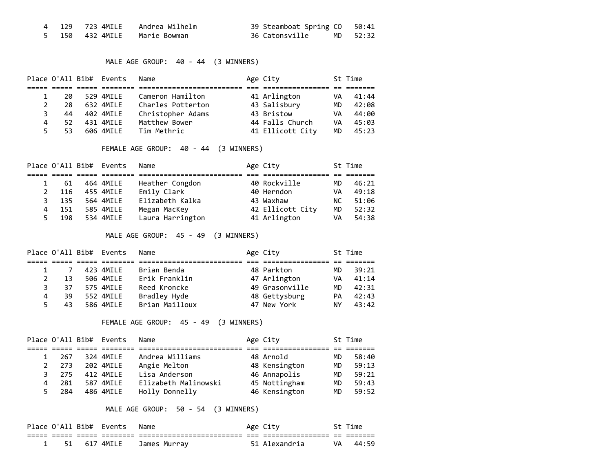|  | 4 129 723 4MILE Andrea Wilhelm | 39 Steamboat Spring CO 50:41 |  |
|--|--------------------------------|------------------------------|--|
|  | 5 150 432 4MILE   Marie Bowman |                              |  |

## MALE AGE GROUP: 40 - 44 (3 WINNERS)

|              |     | Place O'All Bib# Events | Name              | Age City         |     | St Time |
|--------------|-----|-------------------------|-------------------|------------------|-----|---------|
|              |     |                         |                   |                  |     |         |
| $\mathbf{1}$ | 20  | 529 4MILE               | Cameron Hamilton  | 41 Arlington     | VA  | 41:44   |
| 2            | 28  | 632 4MILE               | Charles Potterton | 43 Salisbury     | MD  | 42:08   |
| 3            | 44  | 402 4MILE               | Christopher Adams | 43 Bristow       | VA  | 44:00   |
| 4            | 52  | 431 4MILE               | Matthew Bower     | 44 Falls Church  | VA. | 45:03   |
| 5.           | 53. | 606 4MILE               | Tim Methric       | 41 Ellicott City | MD  | 45:23   |

## FEMALE AGE GROUP: 40 - 44 (3 WINNERS)

|              |     | Place O'All Bib# Events | Name             | Age City         |      | St Time |
|--------------|-----|-------------------------|------------------|------------------|------|---------|
|              |     |                         |                  |                  |      |         |
|              | 61  | 464 4MILE               | Heather Congdon  | 40 Rockville     | МD   | 46:21   |
| $\mathbf{2}$ | 116 | 455 4MILE               | Emily Clark      | 40 Herndon       | VA   | 49:18   |
| 3.           | 135 | 564 4MILE               | Elizabeth Kalka  | 43 Waxhaw        | NC . | 51:06   |
| 4            | 151 | 585 4MILE               | Megan MacKey     | 42 Ellicott City | MD   | 52:32   |
| 5.           | 198 | 534 4MILE               | Laura Harrington | 41 Arlington     | VA   | 54:38   |

## MALE AGE GROUP: 45 - 49 (3 WINNERS)

|    |    | Place O'All Bib# Events | Name           | Age City       |     | St Time |
|----|----|-------------------------|----------------|----------------|-----|---------|
|    |    |                         |                |                |     |         |
|    | 7  | 423 4MILE               | Brian Benda    | 48 Parkton     | MD. | 39:21   |
| 2  | 13 | 506 4MILE               | Erik Franklin  | 47 Arlington   | VA  | 41:14   |
| 3  | 37 | 575 4MILE               | Reed Kroncke   | 49 Grasonville | MD  | 42:31   |
| 4  | 39 | 552 4MILE               | Bradley Hyde   | 48 Gettysburg  | PA  | 42:43   |
| 5. | 43 | 586 4MTIF               | Brian Mailloux | 47 New York    | NY. | 43:42   |

## FEMALE AGE GROUP: 45 - 49 (3 WINNERS)

|    |     | Place O'All Bib# Events | Name                 | Age City      |     | St Time |
|----|-----|-------------------------|----------------------|---------------|-----|---------|
|    |     |                         |                      |               |     |         |
|    | 267 | 324 4MILE               | Andrea Williams      | 48 Arnold     | MD. | 58:40   |
|    | 273 | 202 4MILE               | Angie Melton         | 48 Kensington | MD  | 59:13   |
|    | 275 | 412 4MILE               | Lisa Anderson        | 46 Annapolis  | MD  | 59:21   |
| 4  | 281 | 587 4MILE               | Elizabeth Malinowski | 45 Nottingham | MD  | 59:43   |
| 5. | 284 | 486 4MILE               | Holly Donnelly       | 46 Kensington | MD  | 59:52   |

### MALE AGE GROUP: 50 - 54 (3 WINNERS)

|  | Place O'All Bib# Events | Name                      | Age City      | St Time  |
|--|-------------------------|---------------------------|---------------|----------|
|  |                         |                           |               |          |
|  |                         | 51 617 4MILE James Murray | 51 Alexandria | VA 44:59 |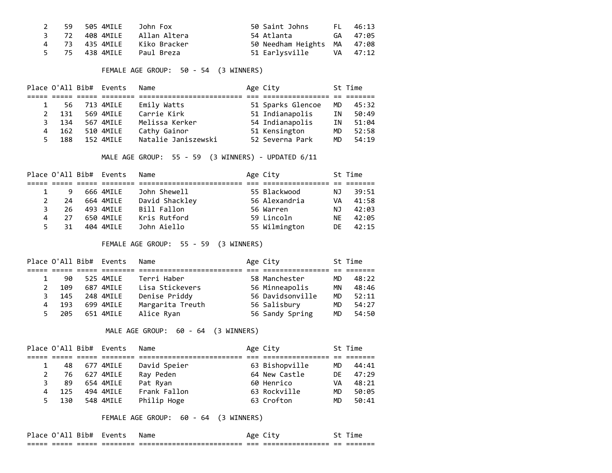|  | 59 505 4MILE   John Fox   |                             | 50 Saint Johns              | FL 46:13 |
|--|---------------------------|-----------------------------|-----------------------------|----------|
|  |                           | 3 72 408 4MILE Allan Altera | 54 Atlanta                  | GA 47:05 |
|  |                           | 4 73 435 4MILE Kiko Bracker | 50 Needham Heights MA 47:08 |          |
|  | 5 75 438 4MILE Paul Breza |                             |                             |          |

FEMALE AGE GROUP: 50 - 54 (3 WINNERS)

|    |     | Place O'All Bib# Events | Name                | Age City          |    | St Time |
|----|-----|-------------------------|---------------------|-------------------|----|---------|
|    |     |                         |                     |                   |    |         |
|    | 56  | 713 4MILE               | Emily Watts         | 51 Sparks Glencoe | MD | 45:32   |
| 2  | 131 | 569 4MILE               | Carrie Kirk         | 51 Indianapolis   | ΙN | 50:49   |
| 3  | 134 | 567 4MILE               | Melissa Kerker      | 54 Indianapolis   | ΙN | 51:04   |
| 4  | 162 | 510 4MILE               | Cathy Gainor        | 51 Kensington     | MD | 52:58   |
| .5 | 188 | 152 4MILE               | Natalie Janiszewski | 52 Severna Park   | MD | 54:19   |

MALE AGE GROUP: 55 - 59 (3 WINNERS) - UPDATED 6/11

|    |    | Place O'All Bib# Events | Name           | Age City      |     | St Time |
|----|----|-------------------------|----------------|---------------|-----|---------|
|    |    |                         |                |               |     |         |
|    | 9  | 666 4MILE               | John Shewell   | 55 Blackwood  | NJ. | 39:51   |
|    | 24 | 664 4MILE               | David Shackley | 56 Alexandria | VA  | 41:58   |
| 3  | 26 | 493 4MILE               | Bill Fallon    | 56 Warren     | ΝJ  | 42:03   |
| 4  | 27 | 650 4MILE               | Kris Rutford   | 59 Lincoln    | NE. | 42:05   |
| 5. | 31 | 404 4MTIF               | John Aiello    | 55 Wilmington | DF. | 42:15   |

FEMALE AGE GROUP: 55 - 59 (3 WINNERS)

|     | Place O'All Bib# Events | Name             | Age City         |           | St Time |
|-----|-------------------------|------------------|------------------|-----------|---------|
|     |                         |                  |                  |           |         |
| 90  | 525 4MILE               | Terri Haber      | 58 Manchester    | MD.       | 48:22   |
| 109 | 687 4MILE               | Lisa Stickevers  | 56 Minneapolis   | ΜN        | 48:46   |
| 145 | 248 4MILE               | Denise Priddy    | 56 Davidsonville | MD        | 52:11   |
| 193 | 699 4MILE               | Margarita Treuth | 56 Salisbury     | <b>MD</b> | 54:27   |
| 205 | 651 4MILE               | Alice Ryan       | 56 Sandy Spring  | MD        | 54:50   |

### MALE AGE GROUP: 60 - 64 (3 WINNERS)

|    |     | Place O'All Bib# Events | Name         | Age City       |     | St Time |
|----|-----|-------------------------|--------------|----------------|-----|---------|
|    |     |                         |              |                |     |         |
|    | 48  | 677 4MILE               | David Speier | 63 Bishopville | MD. | 44:41   |
| 2  | 76  | 627 4MILE               | Ray Peden    | 64 New Castle  | DF. | 47:29   |
| ₹  | 89  | 654 4MILE               | Pat Ryan     | 60 Henrico     | VA  | 48:21   |
|    | 125 | 494 4MILE               | Frank Fallon | 63 Rockville   | MD  | 50:05   |
| 5. | 130 | 548 4MILE               | Philip Hoge  | 63 Crofton     | MD  | 50:41   |

FEMALE AGE GROUP: 60 - 64 (3 WINNERS)

| _____  | ___   | ______      | ________  | -------------------------  | ____ | ________________ | $ -$ | _______ |
|--------|-------|-------------|-----------|----------------------------|------|------------------|------|---------|
| -----  | _____ |             | _________ | __________________________ | ---- | ________________ | $-$  | ------- |
| $\sim$ |       | <b>15th</b> | vΑ        | Name<br>____               |      | $\sim$           |      | ımı     |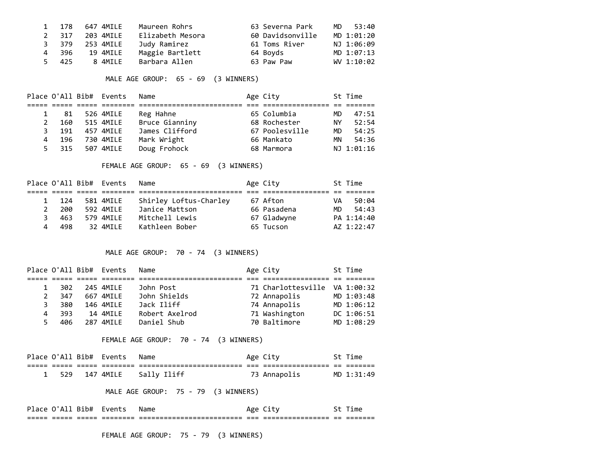|       | 1 178 647 4MILE | Maureen Rohrs    | 63 Severna Park  | MD 53:40   |
|-------|-----------------|------------------|------------------|------------|
| 2 317 | 203 4MILE       | Elizabeth Mesora | 60 Davidsonville | MD 1:01:20 |
| 3 379 | 253 4MILE       | Judy Ramirez     | 61 Toms River    | NJ 1:06:09 |
| 4 396 | 19 4MILE        | Maggie Bartlett  | 64 Boyds         | MD 1:07:13 |
| 5 425 | 8 4MTIF         | Barbara Allen    | 63 Paw Paw       | WV 1:10:02 |

### MALE AGE GROUP: 65 - 69 (3 WINNERS)

|    |     | Place O'All Bib# Events | Name           | Age City       |     | St Time    |
|----|-----|-------------------------|----------------|----------------|-----|------------|
|    |     |                         |                |                |     |            |
|    | 81  | 526 4MILE               | Reg Hahne      | 65 Columbia    | MD. | 47:51      |
| 2  | 160 | 515 4MILE               | Bruce Gianniny | 68 Rochester   | NY. | 52:54      |
| 3  | 191 | 457 4MILE               | James Clifford | 67 Poolesville | MD  | 54:25      |
| 4  | 196 | 730 4MILE               | Mark Wright    | 66 Mankato     | ΜN  | 54:36      |
| 5. | 315 | 507 4MILE               | Doug Frohock   | 68 Marmora     |     | NJ 1:01:16 |

#### FEMALE AGE GROUP: 65 - 69 (3 WINNERS)

|    |      | Place O'All Bib# Events | Name                   | Age City    |     | St Time    |
|----|------|-------------------------|------------------------|-------------|-----|------------|
|    |      |                         |                        |             |     |            |
|    | -124 | 581 4MILE               | Shirley Loftus-Charley | 67 Afton    | VA  | 50:04      |
| 2  | 200  | 592 4MTI F              | Janice Mattson         | 66 Pasadena | MD. | 54:43      |
| 3. | 463  | 579 4MILE               | Mitchell Lewis         | 67 Gladwyne |     | PA 1:14:40 |
| 4  | 498  | 32 4MTI F               | Kathleen Bober         | 65 Tucson   |     | AZ 1:22:47 |

### MALE AGE GROUP: 70 - 74 (3 WINNERS)

|    |     | Place O'All Bib# Events | Name           | Age City                      | St Time    |
|----|-----|-------------------------|----------------|-------------------------------|------------|
|    |     |                         |                |                               |            |
|    | 302 | 245 4MILE               | John Post      | 71 Charlottesville VA 1:00:32 |            |
|    | 347 | 667 4MILE               | John Shields   | 72 Annapolis                  | MD 1:03:48 |
| ٦. | 380 | 146 4MILE               | Jack Iliff     | 74 Annapolis                  | MD 1:06:12 |
| 4  | 393 | 14 4MILE                | Robert Axelrod | 71 Washington                 | DC 1:06:51 |
| 5. | 406 | 287 4MTIF               | Daniel Shub    | 70 Baltimore                  | MD 1:08:29 |

### FEMALE AGE GROUP: 70 - 74 (3 WINNERS)

|       | Place O'All Bib# Events | Name        |            | Age City     |              | St Time    |
|-------|-------------------------|-------------|------------|--------------|--------------|------------|
|       |                         |             | ___<br>___ |              | $ -$<br>$ -$ |            |
| 1 529 | 147 4MILE               | Sally Iliff |            | 73 Annapolis |              | MD 1:31:49 |

## MALE AGE GROUP: 75 - 79 (3 WINNERS)

Place O'All Bib# Events Name Age City St Time ===== ===== ===== ======== ========================= === ================ == =======

FEMALE AGE GROUP: 75 - 79 (3 WINNERS)